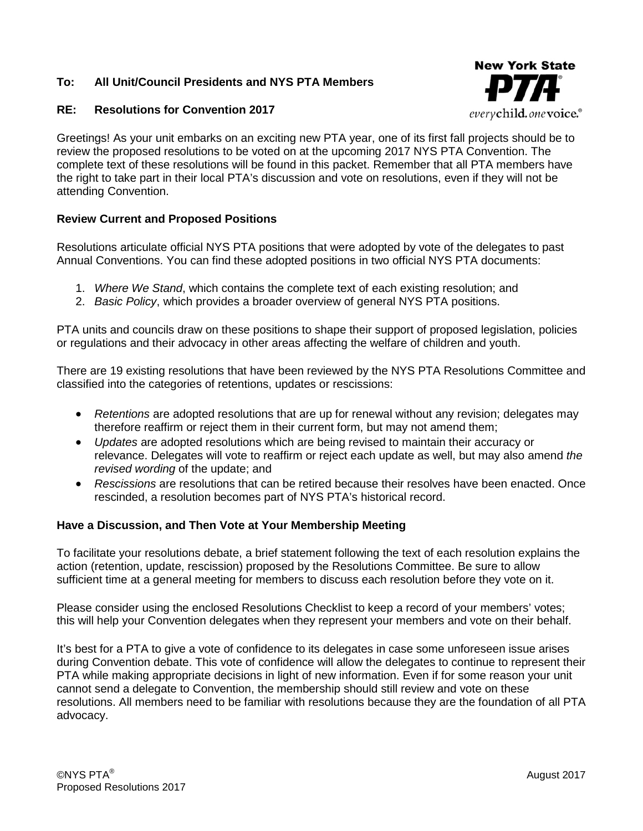### **To: All Unit/Council Presidents and NYS PTA Members**

#### **RE: Resolutions for Convention 2017**



Greetings! As your unit embarks on an exciting new PTA year, one of its first fall projects should be to review the proposed resolutions to be voted on at the upcoming 2017 NYS PTA Convention. The complete text of these resolutions will be found in this packet. Remember that all PTA members have the right to take part in their local PTA's discussion and vote on resolutions, even if they will not be attending Convention.

#### **Review Current and Proposed Positions**

Resolutions articulate official NYS PTA positions that were adopted by vote of the delegates to past Annual Conventions. You can find these adopted positions in two official NYS PTA documents:

- 1. *Where We Stand*, which contains the complete text of each existing resolution; and
- 2. *Basic Policy*, which provides a broader overview of general NYS PTA positions.

PTA units and councils draw on these positions to shape their support of proposed legislation, policies or regulations and their advocacy in other areas affecting the welfare of children and youth.

There are 19 existing resolutions that have been reviewed by the NYS PTA Resolutions Committee and classified into the categories of retentions, updates or rescissions:

- *Retentions* are adopted resolutions that are up for renewal without any revision; delegates may therefore reaffirm or reject them in their current form, but may not amend them;
- *Updates* are adopted resolutions which are being revised to maintain their accuracy or relevance. Delegates will vote to reaffirm or reject each update as well, but may also amend *the revised wording* of the update; and
- *Rescissions* are resolutions that can be retired because their resolves have been enacted. Once rescinded, a resolution becomes part of NYS PTA's historical record.

#### **Have a Discussion, and Then Vote at Your Membership Meeting**

To facilitate your resolutions debate, a brief statement following the text of each resolution explains the action (retention, update, rescission) proposed by the Resolutions Committee. Be sure to allow sufficient time at a general meeting for members to discuss each resolution before they vote on it.

Please consider using the enclosed Resolutions Checklist to keep a record of your members' votes; this will help your Convention delegates when they represent your members and vote on their behalf.

It's best for a PTA to give a vote of confidence to its delegates in case some unforeseen issue arises during Convention debate. This vote of confidence will allow the delegates to continue to represent their PTA while making appropriate decisions in light of new information. Even if for some reason your unit cannot send a delegate to Convention, the membership should still review and vote on these resolutions. All members need to be familiar with resolutions because they are the foundation of all PTA advocacy.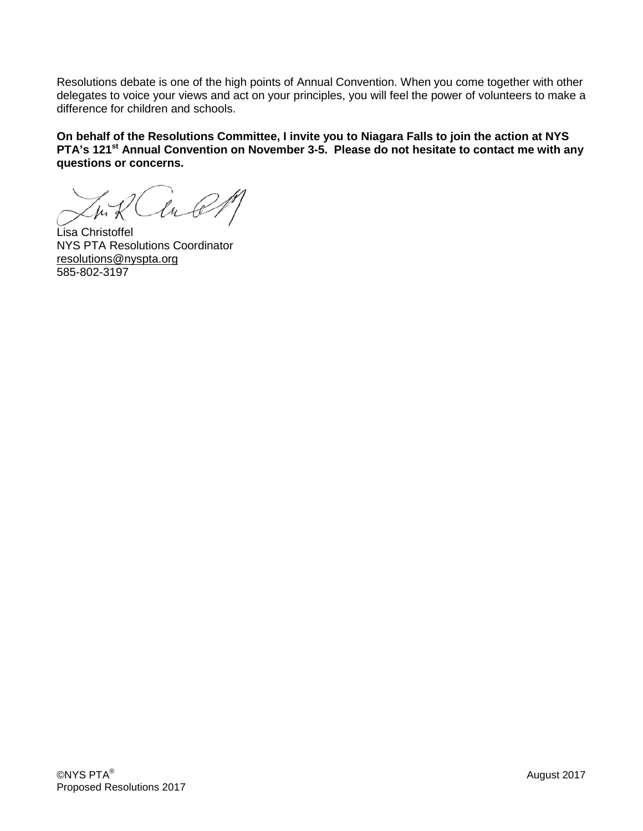Resolutions debate is one of the high points of Annual Convention. When you come together with other delegates to voice your views and act on your principles, you will feel the power of volunteers to make a difference for children and schools.

**On behalf of the Resolutions Committee, I invite you to Niagara Falls to join the action at NYS PTA's 121<sup>st</sup> Annual Convention on November 3-5. Please do not hesitate to contact me with any questions or concerns.** 

Lisa Christoffel NYS PTA Resolutions Coordinator [resolutions@nyspta.org](mailto:resolutions@nyspta.org) 585-802-3197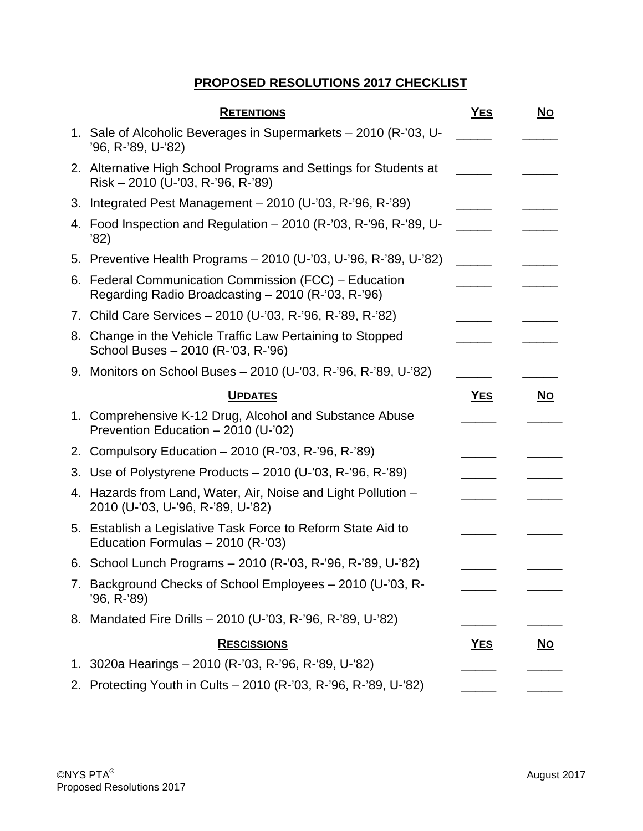# **PROPOSED RESOLUTIONS 2017 CHECKLIST**

| <b>RETENTIONS</b>                                                                                           | <b>YES</b> | <u>No</u> |
|-------------------------------------------------------------------------------------------------------------|------------|-----------|
| 1. Sale of Alcoholic Beverages in Supermarkets – 2010 (R-'03, U-<br>'96, R-'89, U-'82)                      |            |           |
| 2. Alternative High School Programs and Settings for Students at<br>Risk - 2010 (U-'03, R-'96, R-'89)       |            |           |
| 3. Integrated Pest Management - 2010 (U-'03, R-'96, R-'89)                                                  |            |           |
| 4. Food Inspection and Regulation – 2010 (R-'03, R-'96, R-'89, U-<br>'82)                                   |            |           |
| 5. Preventive Health Programs - 2010 (U-'03, U-'96, R-'89, U-'82)                                           |            |           |
| 6. Federal Communication Commission (FCC) – Education<br>Regarding Radio Broadcasting - 2010 (R-'03, R-'96) |            |           |
| 7. Child Care Services - 2010 (U-'03, R-'96, R-'89, R-'82)                                                  |            |           |
| 8. Change in the Vehicle Traffic Law Pertaining to Stopped<br>School Buses - 2010 (R-'03, R-'96)            |            |           |
| 9. Monitors on School Buses - 2010 (U-'03, R-'96, R-'89, U-'82)                                             |            |           |
| <b>UPDATES</b>                                                                                              | <u>YES</u> | <u>No</u> |
| 1. Comprehensive K-12 Drug, Alcohol and Substance Abuse<br>Prevention Education - 2010 (U-'02)              |            |           |
| 2. Compulsory Education - 2010 (R-'03, R-'96, R-'89)                                                        |            |           |
| 3. Use of Polystyrene Products – 2010 (U-'03, R-'96, R-'89)                                                 |            |           |
| 4. Hazards from Land, Water, Air, Noise and Light Pollution -<br>2010 (U-'03, U-'96, R-'89, U-'82)          |            |           |
| 5. Establish a Legislative Task Force to Reform State Aid to<br>Education Formulas $-2010$ (R-'03)          |            |           |
| 6. School Lunch Programs - 2010 (R-'03, R-'96, R-'89, U-'82)                                                |            |           |
| 7. Background Checks of School Employees - 2010 (U-'03, R-<br>'96, R-'89)                                   |            |           |
| 8. Mandated Fire Drills - 2010 (U-'03, R-'96, R-'89, U-'82)                                                 |            |           |
| <b>RESCISSIONS</b>                                                                                          | <u>Yes</u> | <u>No</u> |
| 1. 3020a Hearings - 2010 (R-'03, R-'96, R-'89, U-'82)                                                       |            |           |
| 2. Protecting Youth in Cults - 2010 (R-'03, R-'96, R-'89, U-'82)                                            |            |           |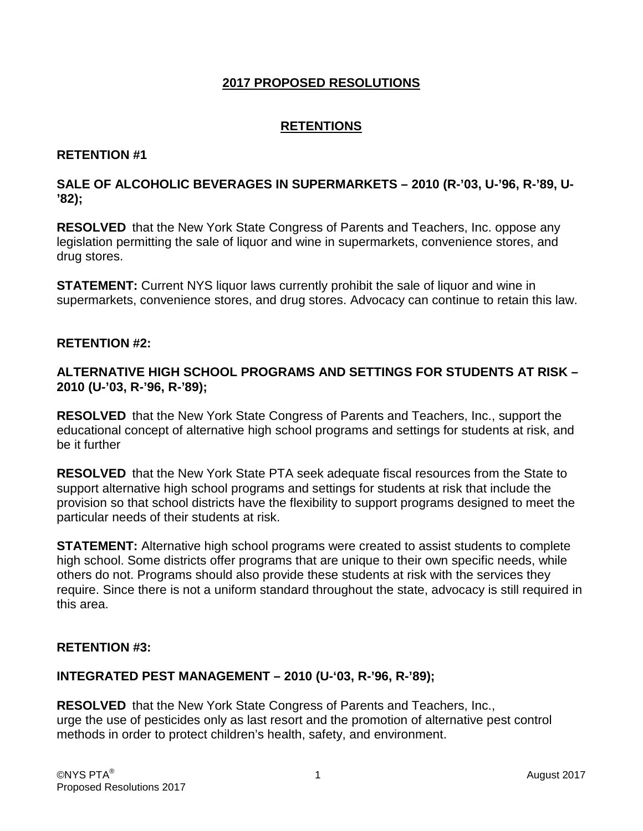### **2017 PROPOSED RESOLUTIONS**

## **RETENTIONS**

### **RETENTION #1**

### **SALE OF ALCOHOLIC BEVERAGES IN SUPERMARKETS – 2010 (R-'03, U-'96, R-'89, U- '82);**

**RESOLVED** that the New York State Congress of Parents and Teachers, Inc. oppose any legislation permitting the sale of liquor and wine in supermarkets, convenience stores, and drug stores.

**STATEMENT:** Current NYS liquor laws currently prohibit the sale of liquor and wine in supermarkets, convenience stores, and drug stores. Advocacy can continue to retain this law.

#### **RETENTION #2:**

### **ALTERNATIVE HIGH SCHOOL PROGRAMS AND SETTINGS FOR STUDENTS AT RISK – 2010 (U-'03, R-'96, R-'89);**

**RESOLVED** that the New York State Congress of Parents and Teachers, Inc., support the educational concept of alternative high school programs and settings for students at risk, and be it further

**RESOLVED** that the New York State PTA seek adequate fiscal resources from the State to support alternative high school programs and settings for students at risk that include the provision so that school districts have the flexibility to support programs designed to meet the particular needs of their students at risk.

**STATEMENT:** Alternative high school programs were created to assist students to complete high school. Some districts offer programs that are unique to their own specific needs, while others do not. Programs should also provide these students at risk with the services they require. Since there is not a uniform standard throughout the state, advocacy is still required in this area.

### **RETENTION #3:**

### **INTEGRATED PEST MANAGEMENT – 2010 (U-'03, R-'96, R-'89);**

**RESOLVED** that the New York State Congress of Parents and Teachers, Inc., urge the use of pesticides only as last resort and the promotion of alternative pest control methods in order to protect children's health, safety, and environment.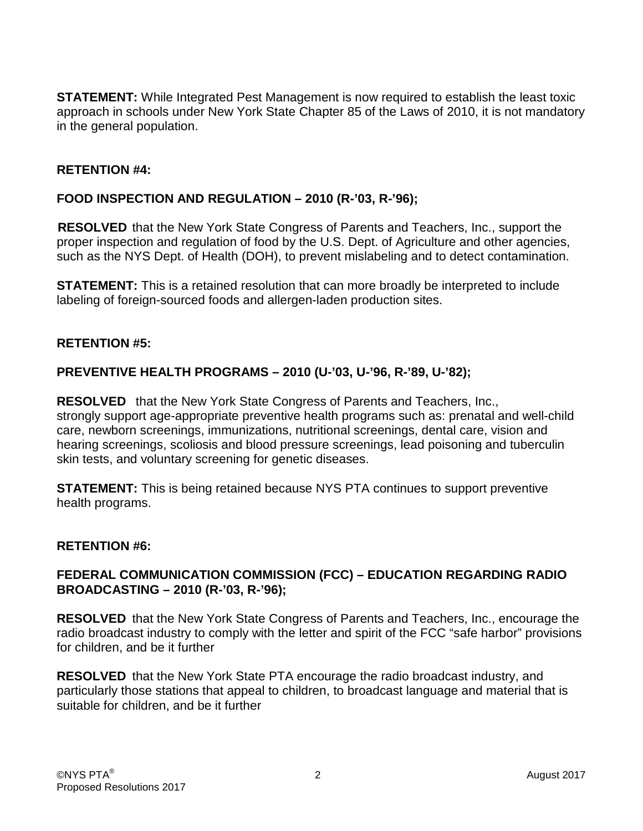**STATEMENT:** While Integrated Pest Management is now required to establish the least toxic approach in schools under New York State Chapter 85 of the Laws of 2010, it is not mandatory in the general population.

### **RETENTION #4:**

### **FOOD INSPECTION AND REGULATION – 2010 (R-'03, R-'96);**

**RESOLVED** that the New York State Congress of Parents and Teachers, Inc., support the proper inspection and regulation of food by the U.S. Dept. of Agriculture and other agencies, such as the NYS Dept. of Health (DOH), to prevent mislabeling and to detect contamination.

**STATEMENT:** This is a retained resolution that can more broadly be interpreted to include labeling of foreign-sourced foods and allergen-laden production sites.

#### **RETENTION #5:**

### **PREVENTIVE HEALTH PROGRAMS – 2010 (U-'03, U-'96, R-'89, U-'82);**

**RESOLVED** that the New York State Congress of Parents and Teachers, Inc., strongly support age-appropriate preventive health programs such as: prenatal and well-child care, newborn screenings, immunizations, nutritional screenings, dental care, vision and hearing screenings, scoliosis and blood pressure screenings, lead poisoning and tuberculin skin tests, and voluntary screening for genetic diseases.

**STATEMENT:** This is being retained because NYS PTA continues to support preventive health programs.

#### **RETENTION #6:**

### **FEDERAL COMMUNICATION COMMISSION (FCC) – EDUCATION REGARDING RADIO BROADCASTING – 2010 (R-'03, R-'96);**

**RESOLVED** that the New York State Congress of Parents and Teachers, Inc., encourage the radio broadcast industry to comply with the letter and spirit of the FCC "safe harbor" provisions for children, and be it further

**RESOLVED** that the New York State PTA encourage the radio broadcast industry, and particularly those stations that appeal to children, to broadcast language and material that is suitable for children, and be it further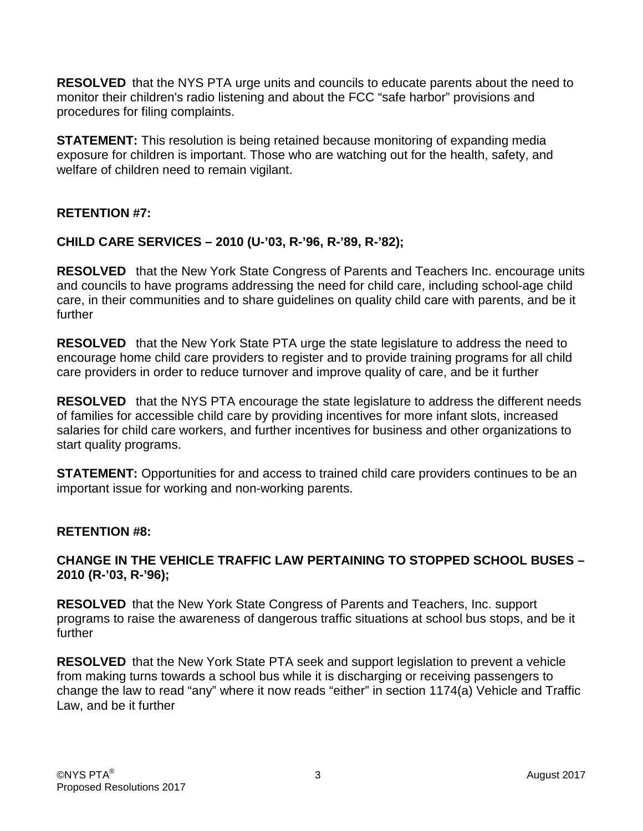**RESOLVED** that the NYS PTA urge units and councils to educate parents about the need to monitor their children's radio listening and about the FCC "safe harbor" provisions and procedures for filing complaints.

**STATEMENT:** This resolution is being retained because monitoring of expanding media exposure for children is important. Those who are watching out for the health, safety, and welfare of children need to remain vigilant.

### **RETENTION #7:**

### **CHILD CARE SERVICES – 2010 (U-'03, R-'96, R-'89, R-'82);**

**RESOLVED** that the New York State Congress of Parents and Teachers Inc. encourage units and councils to have programs addressing the need for child care, including school-age child care, in their communities and to share guidelines on quality child care with parents, and be it further

**RESOLVED** that the New York State PTA urge the state legislature to address the need to encourage home child care providers to register and to provide training programs for all child care providers in order to reduce turnover and improve quality of care, and be it further

**RESOLVED** that the NYS PTA encourage the state legislature to address the different needs of families for accessible child care by providing incentives for more infant slots, increased salaries for child care workers, and further incentives for business and other organizations to start quality programs.

**STATEMENT:** Opportunities for and access to trained child care providers continues to be an important issue for working and non-working parents.

### **RETENTION #8:**

### **CHANGE IN THE VEHICLE TRAFFIC LAW PERTAINING TO STOPPED SCHOOL BUSES – 2010 (R-'03, R-'96);**

**RESOLVED** that the New York State Congress of Parents and Teachers, Inc. support programs to raise the awareness of dangerous traffic situations at school bus stops, and be it further

**RESOLVED** that the New York State PTA seek and support legislation to prevent a vehicle from making turns towards a school bus while it is discharging or receiving passengers to change the law to read "any" where it now reads "either" in section 1174(a) Vehicle and Traffic Law, and be it further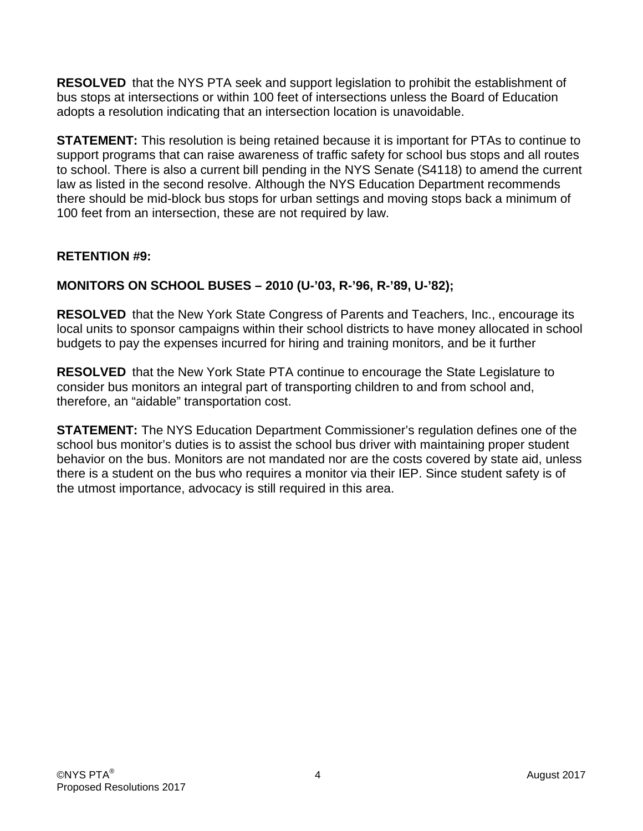**RESOLVED** that the NYS PTA seek and support legislation to prohibit the establishment of bus stops at intersections or within 100 feet of intersections unless the Board of Education adopts a resolution indicating that an intersection location is unavoidable.

**STATEMENT:** This resolution is being retained because it is important for PTAs to continue to support programs that can raise awareness of traffic safety for school bus stops and all routes to school. There is also a current bill pending in the NYS Senate (S4118) to amend the current law as listed in the second resolve. Although the NYS Education Department recommends there should be mid-block bus stops for urban settings and moving stops back a minimum of 100 feet from an intersection, these are not required by law.

## **RETENTION #9:**

## **MONITORS ON SCHOOL BUSES – 2010 (U-'03, R-'96, R-'89, U-'82);**

**RESOLVED** that the New York State Congress of Parents and Teachers, Inc., encourage its local units to sponsor campaigns within their school districts to have money allocated in school budgets to pay the expenses incurred for hiring and training monitors, and be it further

**RESOLVED** that the New York State PTA continue to encourage the State Legislature to consider bus monitors an integral part of transporting children to and from school and, therefore, an "aidable" transportation cost.

**STATEMENT:** The NYS Education Department Commissioner's regulation defines one of the school bus monitor's duties is to assist the school bus driver with maintaining proper student behavior on the bus. Monitors are not mandated nor are the costs covered by state aid, unless there is a student on the bus who requires a monitor via their IEP. Since student safety is of the utmost importance, advocacy is still required in this area.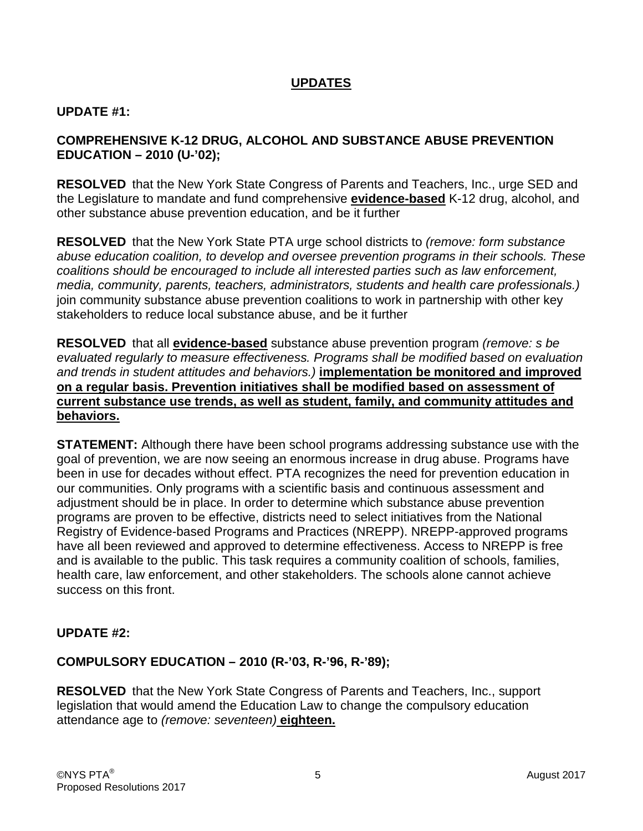## **UPDATES**

#### **UPDATE #1:**

### **COMPREHENSIVE K-12 DRUG, ALCOHOL AND SUBSTANCE ABUSE PREVENTION EDUCATION – 2010 (U-'02);**

**RESOLVED** that the New York State Congress of Parents and Teachers, Inc., urge SED and the Legislature to mandate and fund comprehensive **evidence-based** K-12 drug, alcohol, and other substance abuse prevention education, and be it further

**RESOLVED** that the New York State PTA urge school districts to *(remove: form substance abuse education coalition, to develop and oversee prevention programs in their schools. These coalitions should be encouraged to include all interested parties such as law enforcement, media, community, parents, teachers, administrators, students and health care professionals.)* join community substance abuse prevention coalitions to work in partnership with other key stakeholders to reduce local substance abuse, and be it further

**RESOLVED** that all **evidence-based** substance abuse prevention program *(remove: s be evaluated regularly to measure effectiveness. Programs shall be modified based on evaluation and trends in student attitudes and behaviors.)* **implementation be monitored and improved on a regular basis. Prevention initiatives shall be modified based on assessment of current substance use trends, as well as student, family, and community attitudes and behaviors.**

**STATEMENT:** Although there have been school programs addressing substance use with the goal of prevention, we are now seeing an enormous increase in drug abuse. Programs have been in use for decades without effect. PTA recognizes the need for prevention education in our communities. Only programs with a scientific basis and continuous assessment and adjustment should be in place. In order to determine which substance abuse prevention programs are proven to be effective, districts need to select initiatives from the National Registry of Evidence-based Programs and Practices (NREPP). NREPP-approved programs have all been reviewed and approved to determine effectiveness. Access to NREPP is free and is available to the public. This task requires a community coalition of schools, families, health care, law enforcement, and other stakeholders. The schools alone cannot achieve success on this front.

### **UPDATE #2:**

### **COMPULSORY EDUCATION – 2010 (R-'03, R-'96, R-'89);**

**RESOLVED** that the New York State Congress of Parents and Teachers, Inc., support legislation that would amend the Education Law to change the compulsory education attendance age to *(remove: seventeen)* **eighteen.**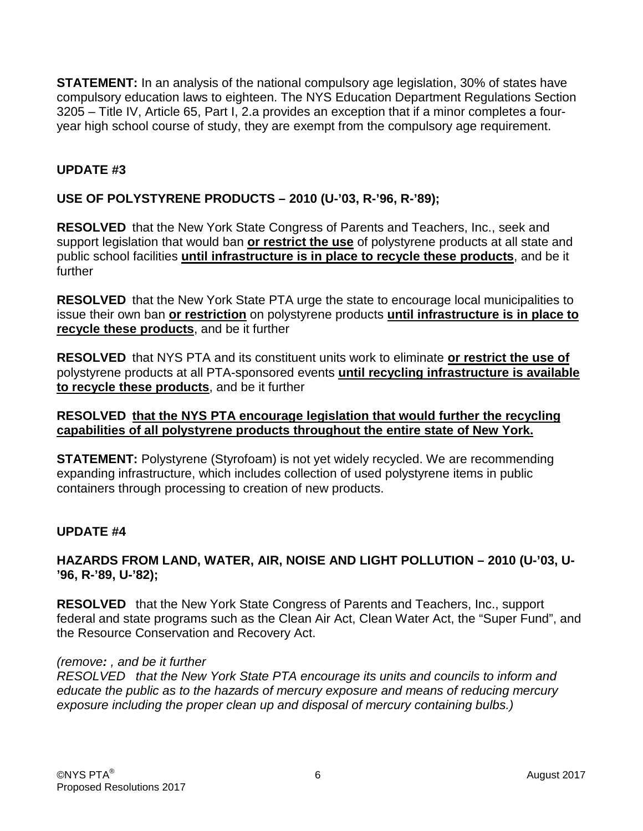**STATEMENT:** In an analysis of the national compulsory age legislation, 30% of states have compulsory education laws to eighteen. The NYS Education Department Regulations Section 3205 – Title IV, Article 65, Part I, 2.a provides an exception that if a minor completes a fouryear high school course of study, they are exempt from the compulsory age requirement.

## **UPDATE #3**

## **USE OF POLYSTYRENE PRODUCTS – 2010 (U-'03, R-'96, R-'89);**

**RESOLVED** that the New York State Congress of Parents and Teachers, Inc., seek and support legislation that would ban **or restrict the use** of polystyrene products at all state and public school facilities **until infrastructure is in place to recycle these products**, and be it further

**RESOLVED** that the New York State PTA urge the state to encourage local municipalities to issue their own ban **or restriction** on polystyrene products **until infrastructure is in place to recycle these products**, and be it further

**RESOLVED** that NYS PTA and its constituent units work to eliminate **or restrict the use of** polystyrene products at all PTA-sponsored events **until recycling infrastructure is available to recycle these products**, and be it further

### **RESOLVED that the NYS PTA encourage legislation that would further the recycling capabilities of all polystyrene products throughout the entire state of New York.**

**STATEMENT:** Polystyrene (Styrofoam) is not yet widely recycled. We are recommending expanding infrastructure, which includes collection of used polystyrene items in public containers through processing to creation of new products.

## **UPDATE #4**

### **HAZARDS FROM LAND, WATER, AIR, NOISE AND LIGHT POLLUTION – 2010 (U-'03, U- '96, R-'89, U-'82);**

**RESOLVED** that the New York State Congress of Parents and Teachers, Inc., support federal and state programs such as the Clean Air Act, Clean Water Act, the "Super Fund", and the Resource Conservation and Recovery Act.

### *(remove: , and be it further*

*RESOLVED that the New York State PTA encourage its units and councils to inform and educate the public as to the hazards of mercury exposure and means of reducing mercury exposure including the proper clean up and disposal of mercury containing bulbs.)*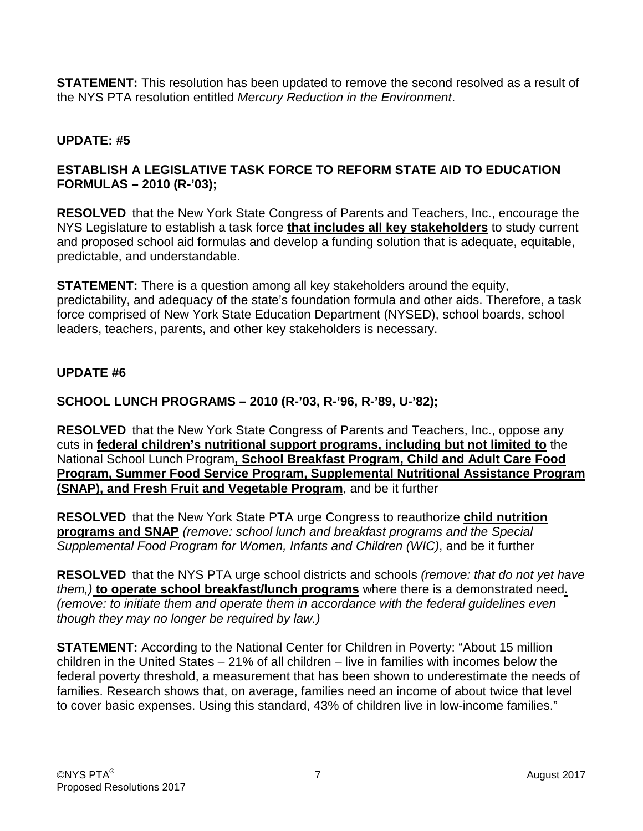**STATEMENT:** This resolution has been updated to remove the second resolved as a result of the NYS PTA resolution entitled *Mercury Reduction in the Environment*.

# **UPDATE: #5**

## **ESTABLISH A LEGISLATIVE TASK FORCE TO REFORM STATE AID TO EDUCATION FORMULAS – 2010 (R-'03);**

**RESOLVED** that the New York State Congress of Parents and Teachers, Inc., encourage the NYS Legislature to establish a task force **that includes all key stakeholders** to study current and proposed school aid formulas and develop a funding solution that is adequate, equitable, predictable, and understandable.

**STATEMENT:** There is a question among all key stakeholders around the equity, predictability, and adequacy of the state's foundation formula and other aids. Therefore, a task force comprised of New York State Education Department (NYSED), school boards, school leaders, teachers, parents, and other key stakeholders is necessary.

## **UPDATE #6**

# **SCHOOL LUNCH PROGRAMS – 2010 (R-'03, R-'96, R-'89, U-'82);**

**RESOLVED** that the New York State Congress of Parents and Teachers, Inc., oppose any cuts in **federal children's nutritional support programs, including but not limited to** the National School Lunch Program**, School Breakfast Program, Child and Adult Care Food Program, Summer Food Service Program, Supplemental Nutritional Assistance Program (SNAP), and Fresh Fruit and Vegetable Program**, and be it further

**RESOLVED** that the New York State PTA urge Congress to reauthorize **child nutrition programs and SNAP** *(remove: school lunch and breakfast programs and the Special Supplemental Food Program for Women, Infants and Children (WIC)*, and be it further

**RESOLVED** that the NYS PTA urge school districts and schools *(remove: that do not yet have them,)* **to operate school breakfast/lunch programs** where there is a demonstrated need**.**  *(remove: to initiate them and operate them in accordance with the federal guidelines even though they may no longer be required by law.)*

**STATEMENT:** According to the National Center for Children in Poverty: "About 15 million children in the United States – 21% of all children – live in families with incomes below the federal poverty threshold, a measurement that has been shown to underestimate the needs of families. Research shows that, on average, families need an income of about twice that level to cover basic expenses. Using this standard, 43% of children live in low-income families."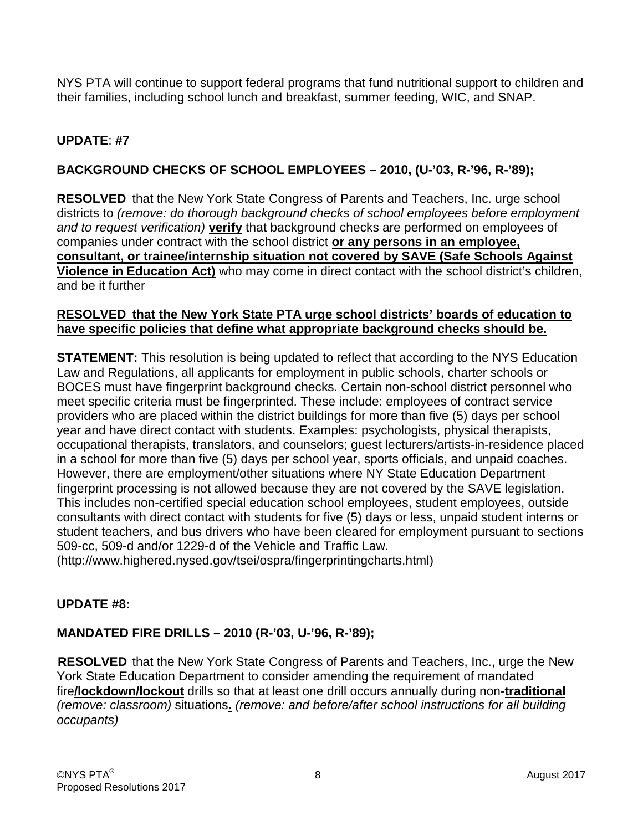NYS PTA will continue to support federal programs that fund nutritional support to children and their families, including school lunch and breakfast, summer feeding, WIC, and SNAP.

# **UPDATE**: **#7**

# **BACKGROUND CHECKS OF SCHOOL EMPLOYEES – 2010, (U-'03, R-'96, R-'89);**

**RESOLVED** that the New York State Congress of Parents and Teachers, Inc. urge school districts to *(remove: do thorough background checks of school employees before employment and to request verification)* **verify** that background checks are performed on employees of companies under contract with the school district **or any persons in an employee, consultant, or trainee/internship situation not covered by SAVE (Safe Schools Against Violence in Education Act)** who may come in direct contact with the school district's children, and be it further

### **RESOLVED that the New York State PTA urge school districts' boards of education to have specific policies that define what appropriate background checks should be.**

**STATEMENT:** This resolution is being updated to reflect that according to the NYS Education Law and Regulations, all applicants for employment in public schools, charter schools or BOCES must have fingerprint background checks. Certain non-school district personnel who meet specific criteria must be fingerprinted. These include: employees of contract service providers who are placed within the district buildings for more than five (5) days per school year and have direct contact with students. Examples: psychologists, physical therapists, occupational therapists, translators, and counselors; guest lecturers/artists-in-residence placed in a school for more than five (5) days per school year, sports officials, and unpaid coaches. However, there are employment/other situations where NY State Education Department fingerprint processing is not allowed because they are not covered by the SAVE legislation. This includes non-certified special education school employees, student employees, outside consultants with direct contact with students for five (5) days or less, unpaid student interns or student teachers, and bus drivers who have been cleared for employment pursuant to sections 509-cc, 509-d and/or 1229-d of the Vehicle and Traffic Law.

(http://www.highered.nysed.gov/tsei/ospra/fingerprintingcharts.html)

## **UPDATE #8:**

# **MANDATED FIRE DRILLS – 2010 (R-'03, U-'96, R-'89);**

**RESOLVED** that the New York State Congress of Parents and Teachers, Inc., urge the New York State Education Department to consider amending the requirement of mandated fire**/lockdown/lockout** drills so that at least one drill occurs annually during non-**traditional** *(remove: classroom)* situations**.** *(remove: and before/after school instructions for all building occupants)*